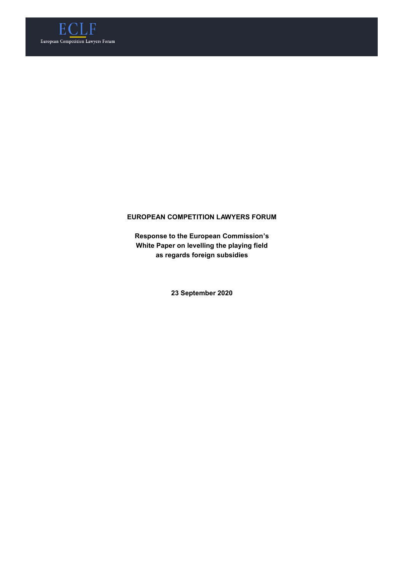

# **EUROPEAN COMPETITION LAWYERS FORUM**

**Response to the European Commission's White Paper on levelling the playing field as regards foreign subsidies**

**23 September 2020**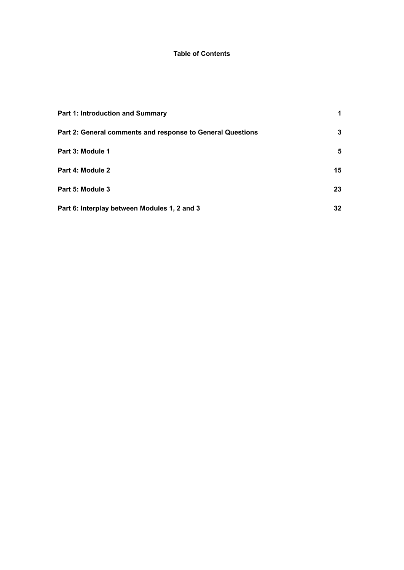# **Table of Contents**

| Part 1: Introduction and Summary                           |    |
|------------------------------------------------------------|----|
| Part 2: General comments and response to General Questions | 3  |
| Part 3: Module 1                                           | 5  |
| Part 4: Module 2                                           | 15 |
| Part 5: Module 3                                           | 23 |
| Part 6: Interplay between Modules 1, 2 and 3               | 32 |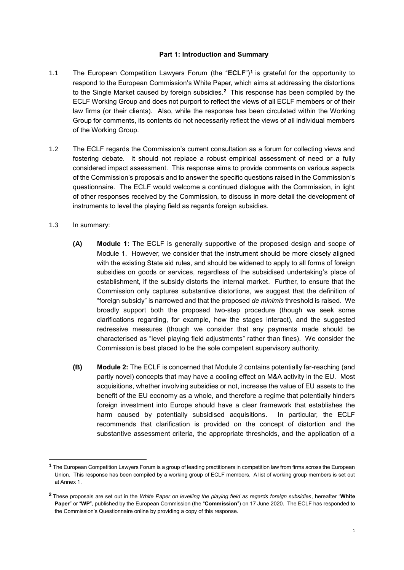### **Part 1: Introduction and Summary**

- <span id="page-2-0"></span>1.1 The European Competition Lawyers Forum (the "**ECLF**")**<sup>1</sup>** is grateful for the opportunity to respond to the European Commission's White Paper, which aims at addressing the distortions to the Single Market caused by foreign subsidies.**<sup>2</sup>** This response has been compiled by the ECLF Working Group and does not purport to reflect the views of all ECLF members or of their law firms (or their clients). Also, while the response has been circulated within the Working Group for comments, its contents do not necessarily reflect the views of all individual members of the Working Group.
- 1.2 The ECLF regards the Commission's current consultation as a forum for collecting views and fostering debate. It should not replace a robust empirical assessment of need or a fully considered impact assessment. This response aims to provide comments on various aspects of the Commission's proposals and to answer the specific questions raised in the Commission's questionnaire. The ECLF would welcome a continued dialogue with the Commission, in light of other responses received by the Commission, to discuss in more detail the development of instruments to level the playing field as regards foreign subsidies.
- 1.3 In summary:

- **(A) Module 1:** The ECLF is generally supportive of the proposed design and scope of Module 1. However, we consider that the instrument should be more closely aligned with the existing State aid rules, and should be widened to apply to all forms of foreign subsidies on goods or services, regardless of the subsidised undertaking's place of establishment, if the subsidy distorts the internal market. Further, to ensure that the Commission only captures substantive distortions, we suggest that the definition of "foreign subsidy" is narrowed and that the proposed *de minimis* threshold is raised. We broadly support both the proposed two-step procedure (though we seek some clarifications regarding, for example, how the stages interact), and the suggested redressive measures (though we consider that any payments made should be characterised as "level playing field adjustments" rather than fines). We consider the Commission is best placed to be the sole competent supervisory authority.
- **(B) Module 2:** The ECLF is concerned that Module 2 contains potentially far-reaching (and partly novel) concepts that may have a cooling effect on M&A activity in the EU. Most acquisitions, whether involving subsidies or not, increase the value of EU assets to the benefit of the EU economy as a whole, and therefore a regime that potentially hinders foreign investment into Europe should have a clear framework that establishes the harm caused by potentially subsidised acquisitions. In particular, the ECLF recommends that clarification is provided on the concept of distortion and the substantive assessment criteria, the appropriate thresholds, and the application of a

**<sup>1</sup>** The European Competition Lawyers Forum is a group of leading practitioners in competition law from firms across the European Union. This response has been compiled by a working group of ECLF members. A list of working group members is set out at Annex 1.

**<sup>2</sup>** These proposals are set out in the *White Paper on levelling the playing field as regards foreign subsidies*, hereafter "**White Paper**" or "**WP**", published by the European Commission (the "**Commission**") on 17 June 2020. The ECLF has responded to the Commission's Questionnaire online by providing a copy of this response.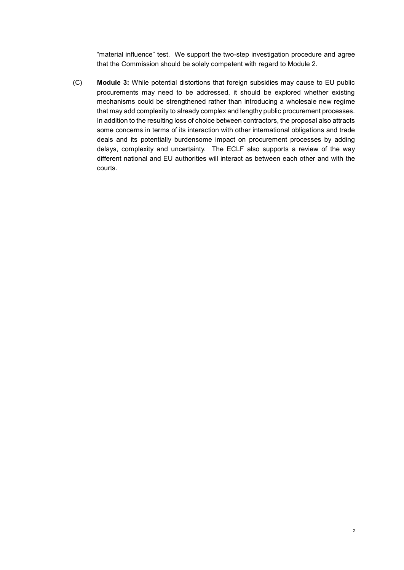"material influence" test. We support the two-step investigation procedure and agree that the Commission should be solely competent with regard to Module 2.

(C) **Module 3:** While potential distortions that foreign subsidies may cause to EU public procurements may need to be addressed, it should be explored whether existing mechanisms could be strengthened rather than introducing a wholesale new regime that may add complexity to already complex and lengthy public procurement processes. In addition to the resulting loss of choice between contractors, the proposal also attracts some concerns in terms of its interaction with other international obligations and trade deals and its potentially burdensome impact on procurement processes by adding delays, complexity and uncertainty. The ECLF also supports a review of the way different national and EU authorities will interact as between each other and with the courts.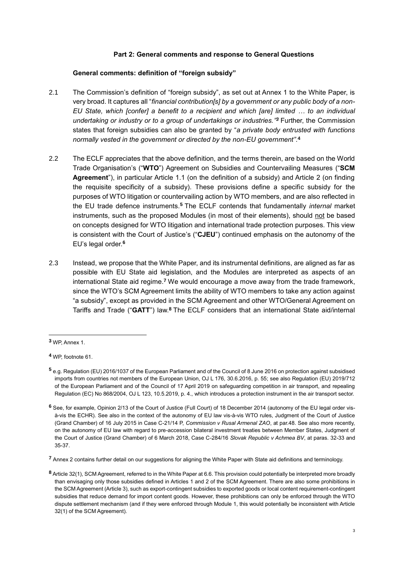### **Part 2: General comments and response to General Questions**

#### <span id="page-4-2"></span><span id="page-4-0"></span>**General comments: definition of "foreign subsidy"**

- 2.1 The Commission's definition of "foreign subsidy", as set out at Annex 1 to the White Paper, is very broad. It captures all "*financial contribution[s] by a government or any public body of a non-EU State, which [confer] a benefit to a recipient and which [are] limited … to an individual undertaking or industry or to a group of undertakings or industries." <sup>3</sup>* Further, the Commission states that foreign subsidies can also be granted by "*a private body entrusted with functions normally vested in the government or directed by the non-EU government"*. **4**
- 2.2 The ECLF appreciates that the above definition, and the terms therein, are based on the World Trade Organisation's ("**WTO**") Agreement on Subsidies and Countervailing Measures ("**SCM Agreement**"), in particular Article 1.1 (on the definition of a subsidy) and Article 2 (on finding the requisite specificity of a subsidy). These provisions define a specific subsidy for the purposes of WTO litigation or countervailing action by WTO members, and are also reflected in the EU trade defence instruments.**<sup>5</sup>** The ECLF contends that fundamentally *internal* market instruments, such as the proposed Modules (in most of their elements), should not be based on concepts designed for WTO litigation and international trade protection purposes. This view is consistent with the Court of Justice's ("**CJEU**") continued emphasis on the autonomy of the EU's legal order.**<sup>6</sup>**
- <span id="page-4-1"></span>2.3 Instead, we propose that the White Paper, and its instrumental definitions, are aligned as far as possible with EU State aid legislation, and the Modules are interpreted as aspects of an international State aid regime.**<sup>7</sup>** We would encourage a move away from the trade framework, since the WTO's SCM Agreement limits the ability of WTO members to take any action against "a subsidy", except as provided in the SCM Agreement and other WTO/General Agreement on Tariffs and Trade ("**GATT**") law.**<sup>8</sup>** The ECLF considers that an international State aid/internal

1

**<sup>7</sup>** Annex 2 contains further detail on our suggestions for aligning the White Paper with State aid definitions and terminology.

**<sup>3</sup>** WP, Annex 1.

**<sup>4</sup>** WP, footnote 61.

**<sup>5</sup>** e.g. Regulation (EU) 2016/1037 of the European Parliament and of the Council of 8 June 2016 on protection against subsidised imports from countries not members of the European Union, OJ L 176, 30.6.2016, p. 55; see also Regulation (EU) 2019/712 of the European Parliament and of the Council of 17 April 2019 on safeguarding competition in air transport, and repealing Regulation (EC) No 868/2004, OJ L 123, 10.5.2019, p. 4., which introduces a protection instrument in the air transport sector.

**<sup>6</sup>** See, for example, Opinion 2/13 of the Court of Justice (Full Court) of 18 December 2014 (autonomy of the EU legal order visà-vis the ECHR). See also in the context of the autonomy of EU law vis-à-vis WTO rules, Judgment of the Court of Justice (Grand Chamber) of 16 July 2015 in Case C-21/14 P, *Commission v Rusal Armenal ZAO*, at par.48. See also more recently, on the autonomy of EU law with regard to pre-accession bilateral investment treaties between Member States, Judgment of the Court of Justice (Grand Chamber) of 6 March 2018, Case C-284/16 *Slovak Republic v Achmea BV*, at paras. 32-33 and 35-37.

**<sup>8</sup>** Article 32(1), SCM Agreement, referred to in the White Paper at 6.6. This provision could potentially be interpreted more broadly than envisaging only those subsidies defined in Articles 1 and 2 of the SCM Agreement. There are also some prohibitions in the SCM Agreement (Article 3), such as export-contingent subsidies to exported goods or local content requirement-contingent subsidies that reduce demand for import content goods. However, these prohibitions can only be enforced through the WTO dispute settlement mechanism (and if they were enforced through Module 1, this would potentially be inconsistent with Article 32(1) of the SCM Agreement).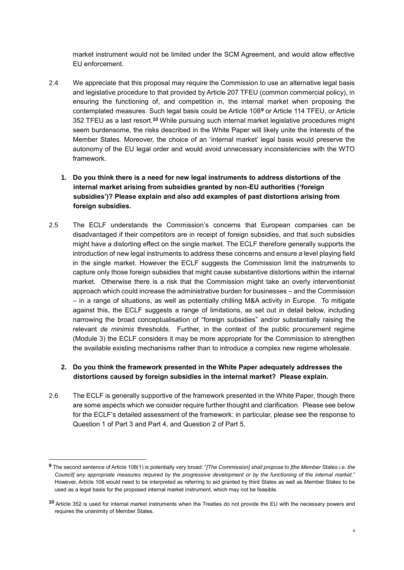market instrument would not be limited under the SCM Agreement, and would allow effective EU enforcement.

- 2.4 We appreciate that this proposal may require the Commission to use an alternative legal basis and legislative procedure to that provided by Article 207 TFEU (common commercial policy), in ensuring the functioning of, and competition in, the internal market when proposing the contemplated measures. Such legal basis could be Article 108**<sup>9</sup>** or Article 114 TFEU, or Article 352 TFEU as a last resort.**<sup>10</sup>** While pursuing such internal market legislative procedures might seem burdensome, the risks described in the White Paper will likely unite the interests of the Member States. Moreover, the choice of an 'internal market' legal basis would preserve the autonomy of the EU legal order and would avoid unnecessary inconsistencies with the WTO framework.
	- **1. Do you think there is a need for new legal instruments to address distortions of the internal market arising from subsidies granted by non-EU authorities ('foreign subsidies')? Please explain and also add examples of past distortions arising from foreign subsidies.**
- 2.5 The ECLF understands the Commission's concerns that European companies can be disadvantaged if their competitors are in receipt of foreign subsidies, and that such subsidies might have a distorting effect on the single market. The ECLF therefore generally supports the introduction of new legal instruments to address these concerns and ensure a level playing field in the single market. However the ECLF suggests the Commission limit the instruments to capture only those foreign subsidies that might cause substantive distortions within the internal market. Otherwise there is a risk that the Commission might take an overly interventionist approach which could increase the administrative burden for businesses – and the Commission – in a range of situations, as well as potentially chilling M&A activity in Europe. To mitigate against this, the ECLF suggests a range of limitations, as set out in detail below, including narrowing the broad conceptualisation of "foreign subsidies" and/or substantially raising the relevant *de minimis* thresholds. Further, in the context of the public procurement regime (Module 3) the ECLF considers it may be more appropriate for the Commission to strengthen the available existing mechanisms rather than to introduce a complex new regime wholesale.

# **2. Do you think the framework presented in the White Paper adequately addresses the distortions caused by foreign subsidies in the internal market? Please explain.**

2.6 The ECLF is generally supportive of the framework presented in the White Paper, though there are some aspects which we consider require further thought and clarification. Please see below for the ECLF's detailed assessment of the framework: in particular, please see the response to Question 1 of Part 3 and Part 4, and Question 2 of Part 5.

**<sup>9</sup>** The second sentence of Article 108(1) is potentially very broad: "*[The Commission] shall propose to [the Member States i.e. the Council] any appropriate measures required by the progressive development or by the functioning of the internal market*." However, Article 108 would need to be interpreted as referring to aid granted by third States as well as Member States to be used as a legal basis for the proposed internal market instrument, which may not be feasible.

**<sup>10</sup>** Article 352 is used for internal market instruments when the Treaties do not provide the EU with the necessary powers and requires the unanimity of Member States.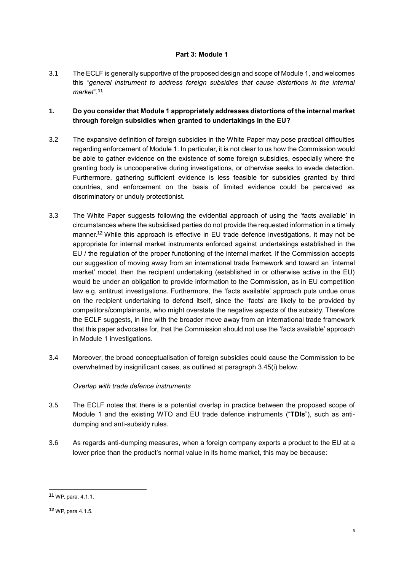## **Part 3: Module 1**

<span id="page-6-0"></span>3.1 The ECLF is generally supportive of the proposed design and scope of Module 1, and welcomes this *"general instrument to address foreign subsidies that cause distortions in the internal market"*. **11**

# **1. Do you consider that Module 1 appropriately addresses distortions of the internal market through foreign subsidies when granted to undertakings in the EU?**

- 3.2 The expansive definition of foreign subsidies in the White Paper may pose practical difficulties regarding enforcement of Module 1. In particular, it is not clear to us how the Commission would be able to gather evidence on the existence of some foreign subsidies, especially where the granting body is uncooperative during investigations, or otherwise seeks to evade detection. Furthermore, gathering sufficient evidence is less feasible for subsidies granted by third countries, and enforcement on the basis of limited evidence could be perceived as discriminatory or unduly protectionist.
- 3.3 The White Paper suggests following the evidential approach of using the 'facts available' in circumstances where the subsidised parties do not provide the requested information in a timely manner.**<sup>12</sup>** While this approach is effective in EU trade defence investigations, it may not be appropriate for internal market instruments enforced against undertakings established in the EU / the regulation of the proper functioning of the internal market. If the Commission accepts our suggestion of moving away from an international trade framework and toward an 'internal market' model, then the recipient undertaking (established in or otherwise active in the EU) would be under an obligation to provide information to the Commission, as in EU competition law e.g. antitrust investigations. Furthermore, the 'facts available' approach puts undue onus on the recipient undertaking to defend itself, since the 'facts' are likely to be provided by competitors/complainants, who might overstate the negative aspects of the subsidy. Therefore the ECLF suggests, in line with the broader move away from an international trade framework that this paper advocates for, that the Commission should not use the 'facts available' approach in Module 1 investigations.
- 3.4 Moreover, the broad conceptualisation of foreign subsidies could cause the Commission to be overwhelmed by insignificant cases, as outlined at paragraph [3.45\(i\) below.](#page-14-0)

## *Overlap with trade defence instruments*

- 3.5 The ECLF notes that there is a potential overlap in practice between the proposed scope of Module 1 and the existing WTO and EU trade defence instruments ("**TDIs**"), such as antidumping and anti-subsidy rules.
- 3.6 As regards anti-dumping measures, when a foreign company exports a product to the EU at a lower price than the product's normal value in its home market, this may be because:

**<sup>11</sup>** WP, para. 4.1.1.

**<sup>12</sup>** WP, para 4.1.5.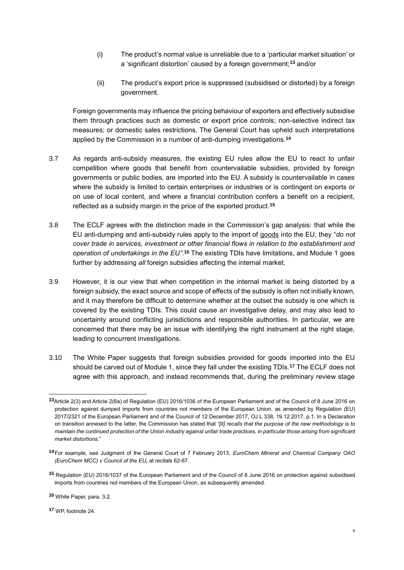- (i) The product's normal value is unreliable due to a 'particular market situation' or a 'significant distortion' caused by a foreign government;**<sup>13</sup>** and/or
- (ii) The product's export price is suppressed (subsidised or distorted) by a foreign government.

Foreign governments may influence the pricing behaviour of exporters and effectively subsidise them through practices such as domestic or export price controls; non-selective indirect tax measures; or domestic sales restrictions. The General Court has upheld such interpretations applied by the Commission in a number of anti-dumping investigations.**<sup>14</sup>**

- 3.7 As regards anti-subsidy measures, the existing EU rules allow the EU to react to unfair competition where goods that benefit from countervailable subsidies, provided by foreign governments or public bodies, are imported into the EU. A subsidy is countervailable in cases where the subsidy is limited to certain enterprises or industries or is contingent on exports or on use of local content, and where a financial contribution confers a benefit on a recipient, reflected as a subsidy margin in the price of the exported product.**<sup>15</sup>**
- 3.8 The ECLF agrees with the distinction made in the Commission's gap analysis: that while the EU anti-dumping and anti-subsidy rules apply to the import of goods into the EU, they "*do not cover trade in services, investment or other financial flows in relation to the establishment and operation of undertakings in the EU"*. **<sup>16</sup>** The existing TDIs have limitations, and Module 1 goes further by addressing *all* foreign subsidies affecting the internal market.
- 3.9 However, it is our view that when competition in the internal market is being distorted by a foreign subsidy, the exact source and scope of effects of the subsidy is often not initially known, and it may therefore be difficult to determine whether at the outset the subsidy is one which is covered by the existing TDIs. This could cause an investigative delay, and may also lead to uncertainty around conflicting jurisdictions and responsible authorities. In particular, we are concerned that there may be an issue with identifying the right instrument at the right stage, leading to concurrent investigations.
- <span id="page-7-0"></span>3.10 The White Paper suggests that foreign subsidies provided for goods imported into the EU should be carved out of Module 1, since they fall under the existing TDIs.**<sup>17</sup>** The ECLF does not agree with this approach, and instead recommends that, during the preliminary review stage

**<sup>17</sup>** WP, footnote 24.

**<sup>13</sup>**Article 2(3) and Article 2(6a) of Regulation (EU) 2016/1036 of the European Parliament and of the Council of 8 June 2016 on protection against dumped imports from countries not members of the European Union, as amended by Regulation (EU) 2017/2321 of the European Parliament and of the Council of 12 December 2017, OJ L 338, 19.12.2017, p.1. In a Declaration on transition annexed to the latter, the Commission has stated that *"[it] recalls that the purpose of the new methodology is to maintain the continued protection of the Union industry against unfair trade practices, in particular those arising from significant market distortions.*"

**<sup>14</sup>**For example, see Judgment of the General Court of 7 February 2013, *EuroChem Mineral and Chemical Company OAO (EuroChem MCC) v Council of the EU***,** at recitals 62-67.

**<sup>15</sup>** Regulation (EU) 2016/1037 of the European Parliament and of the Council of 8 June 2016 on protection against subsidised imports from countries not members of the European Union, as subsequently amended.

**<sup>16</sup>** White Paper, para. 3.2.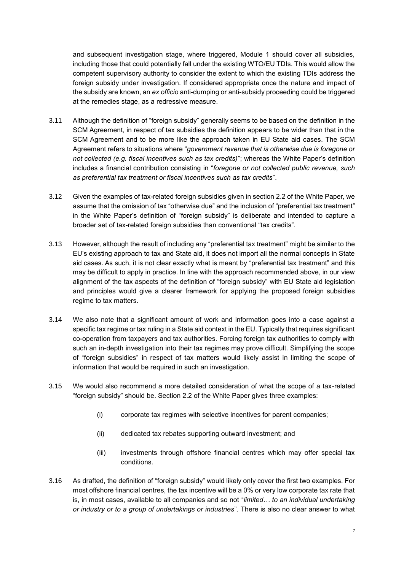and subsequent investigation stage, where triggered, Module 1 should cover all subsidies, including those that could potentially fall under the existing WTO/EU TDIs. This would allow the competent supervisory authority to consider the extent to which the existing TDIs address the foreign subsidy under investigation. If considered appropriate once the nature and impact of the subsidy are known, an *ex officio* anti-dumping or anti-subsidy proceeding could be triggered at the remedies stage, as a redressive measure.

- 3.11 Although the definition of "foreign subsidy" generally seems to be based on the definition in the SCM Agreement, in respect of tax subsidies the definition appears to be wider than that in the SCM Agreement and to be more like the approach taken in EU State aid cases. The SCM Agreement refers to situations where "*government revenue that is otherwise due is foregone or not collected (e.g. fiscal incentives such as tax credits)*"; whereas the White Paper's definition includes a financial contribution consisting in "*foregone or not collected public revenue, such as preferential tax treatment or fiscal incentives such as tax credits*".
- 3.12 Given the examples of tax-related foreign subsidies given in section 2.2 of the White Paper, we assume that the omission of tax "otherwise due" and the inclusion of "preferential tax treatment" in the White Paper's definition of "foreign subsidy" is deliberate and intended to capture a broader set of tax-related foreign subsidies than conventional "tax credits".
- 3.13 However, although the result of including any "preferential tax treatment" might be similar to the EU's existing approach to tax and State aid, it does not import all the normal concepts in State aid cases. As such, it is not clear exactly what is meant by "preferential tax treatment" and this may be difficult to apply in practice. In line with the approach recommended above, in our view alignment of the tax aspects of the definition of "foreign subsidy" with EU State aid legislation and principles would give a clearer framework for applying the proposed foreign subsidies regime to tax matters.
- 3.14 We also note that a significant amount of work and information goes into a case against a specific tax regime or tax ruling in a State aid context in the EU. Typically that requires significant co-operation from taxpayers and tax authorities. Forcing foreign tax authorities to comply with such an in-depth investigation into their tax regimes may prove difficult. Simplifying the scope of "foreign subsidies" in respect of tax matters would likely assist in limiting the scope of information that would be required in such an investigation.
- 3.15 We would also recommend a more detailed consideration of what the scope of a tax-related "foreign subsidy" should be. Section 2.2 of the White Paper gives three examples:
	- (i) corporate tax regimes with selective incentives for parent companies;
	- (ii) dedicated tax rebates supporting outward investment; and
	- (iii) investments through offshore financial centres which may offer special tax conditions.
- 3.16 As drafted, the definition of "foreign subsidy" would likely only cover the first two examples. For most offshore financial centres, the tax incentive will be a 0% or very low corporate tax rate that is, in most cases, available to all companies and so not "*limited… to an individual undertaking or industry or to a group of undertakings or industries*". There is also no clear answer to what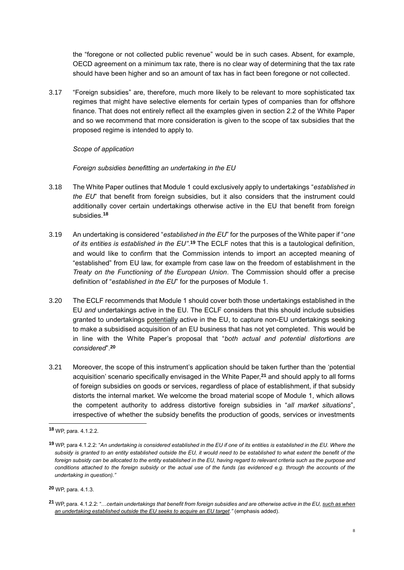the "foregone or not collected public revenue" would be in such cases. Absent, for example, OECD agreement on a minimum tax rate, there is no clear way of determining that the tax rate should have been higher and so an amount of tax has in fact been foregone or not collected.

3.17 "Foreign subsidies" are, therefore, much more likely to be relevant to more sophisticated tax regimes that might have selective elements for certain types of companies than for offshore finance. That does not entirely reflect all the examples given in section 2.2 of the White Paper and so we recommend that more consideration is given to the scope of tax subsidies that the proposed regime is intended to apply to.

## *Scope of application*

#### *Foreign subsidies benefitting an undertaking in the EU*

- 3.18 The White Paper outlines that Module 1 could exclusively apply to undertakings "*established in the EU*" that benefit from foreign subsidies, but it also considers that the instrument could additionally cover certain undertakings otherwise active in the EU that benefit from foreign subsidies.**<sup>18</sup>**
- 3.19 An undertaking is considered "*established in the EU*" for the purposes of the White paper if "*one of its entities is established in the EU"*. **<sup>19</sup>** The ECLF notes that this is a tautological definition, and would like to confirm that the Commission intends to import an accepted meaning of "established" from EU law, for example from case law on the freedom of establishment in the *Treaty on the Functioning of the European Union*. The Commission should offer a precise definition of "*established in the EU*" for the purposes of Module 1.
- 3.20 The ECLF recommends that Module 1 should cover both those undertakings established in the EU *and* undertakings active in the EU. The ECLF considers that this should include subsidies granted to undertakings potentially active in the EU, to capture non-EU undertakings seeking to make a subsidised acquisition of an EU business that has not yet completed. This would be in line with the White Paper's proposal that "*both actual and potential distortions are considered*".**<sup>20</sup>**
- 3.21 Moreover, the scope of this instrument's application should be taken further than the 'potential acquisition' scenario specifically envisaged in the White Paper,**<sup>21</sup>** and should apply to all forms of foreign subsidies on goods or services, regardless of place of establishment, if that subsidy distorts the internal market. We welcome the broad material scope of Module 1, which allows the competent authority to address distortive foreign subsidies in "*all market situations*", irrespective of whether the subsidy benefits the production of goods, services or investments

**<sup>18</sup>** WP, para. 4.1.2.2.

**<sup>19</sup>** WP, para 4.1.2.2: "*An undertaking is considered established in the EU if one of its entities is established in the EU. Where the subsidy is granted to an entity established outside the EU, it would need to be established to what extent the benefit of the foreign subsidy can be allocated to the entity established in the EU, having regard to relevant criteria such as the purpose and conditions attached to the foreign subsidy or the actual use of the funds (as evidenced e.g. through the accounts of the undertaking in question)."*

**<sup>20</sup>** WP, para. 4.1.3.

**<sup>21</sup>** WP, para. 4.1.2.2: "…*certain undertakings that benefit from foreign subsidies and are otherwise active in the EU, such as when an undertaking established outside the EU seeks to acquire an EU target."* (emphasis added).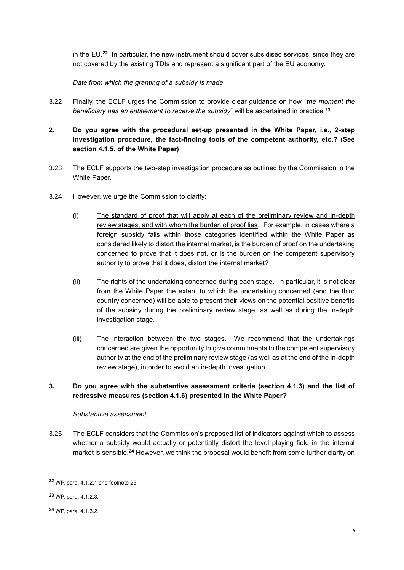in the EU.**<sup>22</sup>** In particular, the new instrument should cover subsidised services, since they are not covered by the existing TDIs and represent a significant part of the EU economy.

*Date from which the granting of a subsidy is made*

- 3.22 Finally, the ECLF urges the Commission to provide clear guidance on how "*the moment the beneficiary has an entitlement to receive the subsidy*" will be ascertained in practice.**<sup>23</sup>**
- **2. Do you agree with the procedural set-up presented in the White Paper, i.e., 2-step investigation procedure, the fact-finding tools of the competent authority, etc.? (See section 4.1.5. of the White Paper)**
- 3.23 The ECLF supports the two-step investigation procedure as outlined by the Commission in the White Paper.
- 3.24 However, we urge the Commission to clarify:
	- (i) The standard of proof that will apply at each of the preliminary review and in-depth review stages, and with whom the burden of proof lies. For example, in cases where a foreign subsidy falls within those categories identified within the White Paper as considered likely to distort the internal market, is the burden of proof on the undertaking concerned to prove that it does not, or is the burden on the competent supervisory authority to prove that it does, distort the internal market?
	- (ii) The rights of the undertaking concerned during each stage. In particular, it is not clear from the White Paper the extent to which the undertaking concerned (and the third country concerned) will be able to present their views on the potential positive benefits of the subsidy during the preliminary review stage, as well as during the in-depth investigation stage.
	- (iii) The interaction between the two stages. We recommend that the undertakings concerned are given the opportunity to give commitments to the competent supervisory authority at the end of the preliminary review stage (as well as at the end of the in-depth review stage), in order to avoid an in-depth investigation.

# **3. Do you agree with the substantive assessment criteria (section 4.1.3) and the list of redressive measures (section 4.1.6) presented in the White Paper?**

## *Substantive assessment*

3.25 The ECLF considers that the Commission's proposed list of indicators against which to assess whether a subsidy would actually or potentially distort the level playing field in the internal market is sensible.**<sup>24</sup>** However, we think the proposal would benefit from some further clarity on

**<sup>22</sup>** WP, para. 4.1.2.1 and footnote 25.

**<sup>23</sup>** WP, para. 4.1.2.3.

**<sup>24</sup>** WP, para. 4.1.3.2.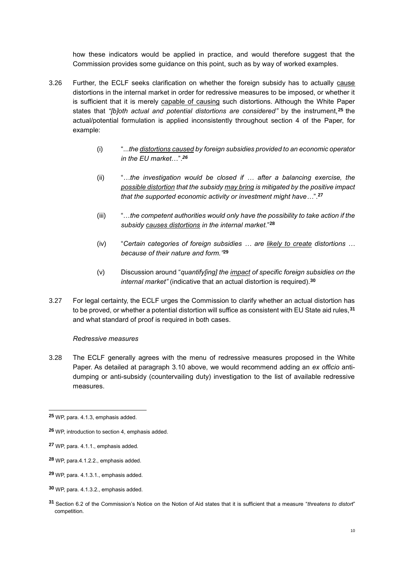how these indicators would be applied in practice, and would therefore suggest that the Commission provides some guidance on this point, such as by way of worked examples.

- 3.26 Further, the ECLF seeks clarification on whether the foreign subsidy has to actually cause distortions in the internal market in order for redressive measures to be imposed, or whether it is sufficient that it is merely capable of causing such distortions. Although the White Paper states that *"[b]oth actual and potential distortions are considered"* by the instrument,**<sup>25</sup>** the actual/potential formulation is applied inconsistently throughout section 4 of the Paper, for example:
	- (i) "...*the distortions caused by foreign subsidies provided to an economic operator in the EU market*…". *26*
	- (ii) "*…the investigation would be closed if … after a balancing exercise, the possible distortion that the subsidy may bring is mitigated by the positive impact that the supported economic activity or investment might have…*".**<sup>27</sup>**
	- (iii) "…*the competent authorities would only have the possibility to take action if the subsidy causes distortions in the internal market.*" **28**
	- (iv) "*Certain categories of foreign subsidies … are likely to create distortions … because of their nature and form."* **29**
	- (v) Discussion around "*quantify[ing] the impact of specific foreign subsidies on the internal market"* (indicative that an actual distortion is required).**<sup>30</sup>**
- 3.27 For legal certainty, the ECLF urges the Commission to clarify whether an actual distortion has to be proved, or whether a potential distortion will suffice as consistent with EU State aid rules,**<sup>31</sup>** and what standard of proof is required in both cases.

## *Redressive measures*

3.28 The ECLF generally agrees with the menu of redressive measures proposed in the White Paper. As detailed at paragraph [3.10 above,](#page-7-0) we would recommend adding an *ex officio* antidumping or anti-subsidy (countervailing duty) investigation to the list of available redressive measures.

**<sup>25</sup>** WP, para. 4.1.3, emphasis added.

**<sup>26</sup>** WP, introduction to section 4, emphasis added.

**<sup>27</sup>** WP, para. 4.1.1., emphasis added.

**<sup>28</sup>** WP, para.4.1.2.2., emphasis added.

**<sup>29</sup>** WP, para. 4.1.3.1., emphasis added.

**<sup>30</sup>** WP, para. 4.1.3.2., emphasis added.

**<sup>31</sup>** Section 6.2 of the Commission's Notice on the Notion of Aid states that it is sufficient that a measure "*threatens to distort*" competition.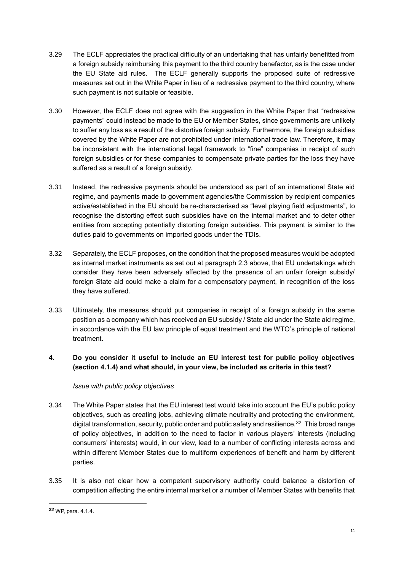- 3.29 The ECLF appreciates the practical difficulty of an undertaking that has unfairly benefitted from a foreign subsidy reimbursing this payment to the third country benefactor, as is the case under the EU State aid rules. The ECLF generally supports the proposed suite of redressive measures set out in the White Paper in lieu of a redressive payment to the third country, where such payment is not suitable or feasible.
- 3.30 However, the ECLF does not agree with the suggestion in the White Paper that "redressive payments" could instead be made to the EU or Member States, since governments are unlikely to suffer any loss as a result of the distortive foreign subsidy. Furthermore, the foreign subsidies covered by the White Paper are not prohibited under international trade law. Therefore, it may be inconsistent with the international legal framework to "fine" companies in receipt of such foreign subsidies or for these companies to compensate private parties for the loss they have suffered as a result of a foreign subsidy.
- 3.31 Instead, the redressive payments should be understood as part of an international State aid regime, and payments made to government agencies/the Commission by recipient companies active/established in the EU should be re-characterised as "level playing field adjustments", to recognise the distorting effect such subsidies have on the internal market and to deter other entities from accepting potentially distorting foreign subsidies. This payment is similar to the duties paid to governments on imported goods under the TDIs.
- 3.32 Separately, the ECLF proposes, on the condition that the proposed measures would be adopted as internal market instruments as set out at paragraph [2.3 above,](#page-4-1) that EU undertakings which consider they have been adversely affected by the presence of an unfair foreign subsidy/ foreign State aid could make a claim for a compensatory payment, in recognition of the loss they have suffered.
- 3.33 Ultimately, the measures should put companies in receipt of a foreign subsidy in the same position as a company which has received an EU subsidy / State aid under the State aid regime, in accordance with the EU law principle of equal treatment and the WTO's principle of national treatment.
- **4. Do you consider it useful to include an EU interest test for public policy objectives (section 4.1.4) and what should, in your view, be included as criteria in this test?**

# *Issue with public policy objectives*

- <span id="page-12-0"></span>3.34 The White Paper states that the EU interest test would take into account the EU's public policy objectives, such as creating jobs, achieving climate neutrality and protecting the environment, digital transformation, security, public order and public safety and resilience. $^{32}$  This broad range of policy objectives, in addition to the need to factor in various players' interests (including consumers' interests) would, in our view, lead to a number of conflicting interests across and within different Member States due to multiform experiences of benefit and harm by different parties.
- <span id="page-12-1"></span>3.35 It is also not clear how a competent supervisory authority could balance a distortion of competition affecting the entire internal market or a number of Member States with benefits that

**<sup>32</sup>** WP, para. 4.1.4.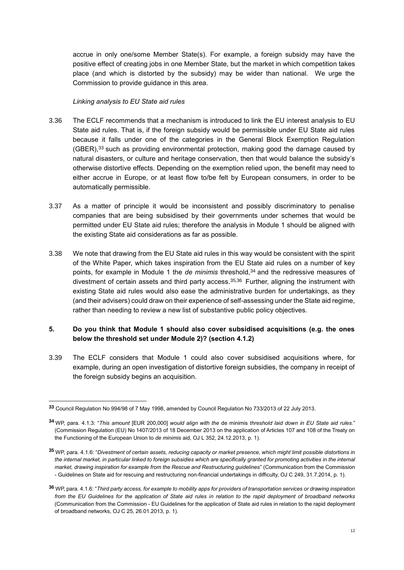accrue in only one/some Member State(s). For example, a foreign subsidy may have the positive effect of creating jobs in one Member State, but the market in which competition takes place (and which is distorted by the subsidy) may be wider than national. We urge the Commission to provide guidance in this area.

#### *Linking analysis to EU State aid rules*

- 3.36 The ECLF recommends that a mechanism is introduced to link the EU interest analysis to EU State aid rules. That is, if the foreign subsidy would be permissible under EU State aid rules because it falls under one of the categories in the General Block Exemption Regulation  $(GBER)$ ,<sup>33</sup> such as providing environmental protection, making good the damage caused by natural disasters, or culture and heritage conservation, then that would balance the subsidy's otherwise distortive effects. Depending on the exemption relied upon, the benefit may need to either accrue in Europe, or at least flow to/be felt by European consumers, in order to be automatically permissible.
- 3.37 As a matter of principle it would be inconsistent and possibly discriminatory to penalise companies that are being subsidised by their governments under schemes that would be permitted under EU State aid rules; therefore the analysis in Module 1 should be aligned with the existing State aid considerations as far as possible.
- 3.38 We note that drawing from the EU State aid rules in this way would be consistent with the spirit of the White Paper, which takes inspiration from the EU State aid rules on a number of key points, for example in Module 1 the *de minimis* threshold,<sup>34</sup> and the redressive measures of divestment of certain assets and third party access.<sup>35,36</sup> Further, aligning the instrument with existing State aid rules would also ease the administrative burden for undertakings, as they (and their advisers) could draw on their experience of self-assessing under the State aid regime, rather than needing to review a new list of substantive public policy objectives.

# **5. Do you think that Module 1 should also cover subsidised acquisitions (e.g. the ones below the threshold set under Module 2)? (section 4.1.2)**

3.39 The ECLF considers that Module 1 could also cover subsidised acquisitions where, for example, during an open investigation of distortive foreign subsidies, the company in receipt of the foreign subsidy begins an acquisition.

**<sup>33</sup>** Council Regulation No 994/98 of 7 May 1998, amended by Council Regulation No 733/2013 of 22 July 2013.

**<sup>34</sup>** WP, para. 4.1.3: "*This amount* [EUR 200,000] *would align with the* de minimis *threshold laid down in EU State aid rules*." (Commission Regulation (EU) No 1407/2013 of 18 December 2013 on the application of Articles 107 and 108 of the Treaty on the Functioning of the European Union to *de minimis* aid, OJ L 352, 24.12.2013, p. 1).

**<sup>35</sup>** WP, para. 4.1.6: "*Divestment of certain assets, reducing capacity or market presence, which might limit possible distortions in*  the internal market, in particular linked to foreign subsidies which are specifically granted for promoting activities in the internal *market, drawing inspiration for example from the Rescue and Restructuring guidelines*" (Communication from the Commission - Guidelines on State aid for rescuing and restructuring non-financial undertakings in difficulty, OJ C 249, 31.7.2014, p. 1).

**<sup>36</sup>** WP, para. 4.1.6: "*Third party access, for example to mobility apps for providers of transportation services or drawing inspiration from the EU Guidelines for the application of State aid rules in relation to the rapid deployment of broadband networks*  (Communication from the Commission - EU Guidelines for the application of State aid rules in relation to the rapid deployment of broadband networks, OJ C 25, 26.01.2013, p. 1).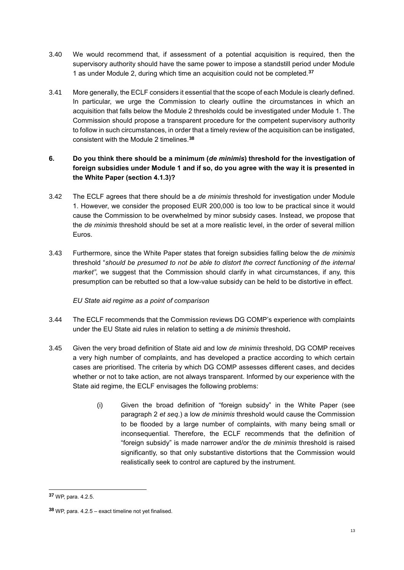- 3.40 We would recommend that, if assessment of a potential acquisition is required, then the supervisory authority should have the same power to impose a standstill period under Module 1 as under Module 2, during which time an acquisition could not be completed.**<sup>37</sup>**
- 3.41 More generally, the ECLF considers it essential that the scope of each Module is clearly defined. In particular, we urge the Commission to clearly outline the circumstances in which an acquisition that falls below the Module 2 thresholds could be investigated under Module 1. The Commission should propose a transparent procedure for the competent supervisory authority to follow in such circumstances, in order that a timely review of the acquisition can be instigated, consistent with the Module 2 timelines.**<sup>38</sup>**

# **6. Do you think there should be a minimum (***de minimis***) threshold for the investigation of foreign subsidies under Module 1 and if so, do you agree with the way it is presented in the White Paper (section 4.1.3)?**

- 3.42 The ECLF agrees that there should be a *de minimis* threshold for investigation under Module 1. However, we consider the proposed EUR 200,000 is too low to be practical since it would cause the Commission to be overwhelmed by minor subsidy cases. Instead, we propose that the *de minimis* threshold should be set at a more realistic level, in the order of several million Euros.
- 3.43 Furthermore, since the White Paper states that foreign subsidies falling below the *de minimis*  threshold "*should be presumed to not be able to distort the correct functioning of the internal market"*, we suggest that the Commission should clarify in what circumstances, if any, this presumption can be rebutted so that a low-value subsidy can be held to be distortive in effect.

*EU State aid regime as a point of comparison*

- 3.44 The ECLF recommends that the Commission reviews DG COMP's experience with complaints under the EU State aid rules in relation to setting a *de minimis* threshold**.**
- <span id="page-14-0"></span>3.45 Given the very broad definition of State aid and low *de minimis* threshold, DG COMP receives a very high number of complaints, and has developed a practice according to which certain cases are prioritised. The criteria by which DG COMP assesses different cases, and decides whether or not to take action, are not always transparent. Informed by our experience with the State aid regime, the ECLF envisages the following problems:
	- (i) Given the broad definition of "foreign subsidy" in the White Paper (see paragraph [2](#page-4-2) *et seq*.) a low *de minimis* threshold would cause the Commission to be flooded by a large number of complaints, with many being small or inconsequential. Therefore, the ECLF recommends that the definition of "foreign subsidy" is made narrower and/or the *de minimis* threshold is raised significantly, so that only substantive distortions that the Commission would realistically seek to control are captured by the instrument.

**<sup>37</sup>** WP, para. 4.2.5.

**<sup>38</sup>** WP, para. 4.2.5 – exact timeline not yet finalised.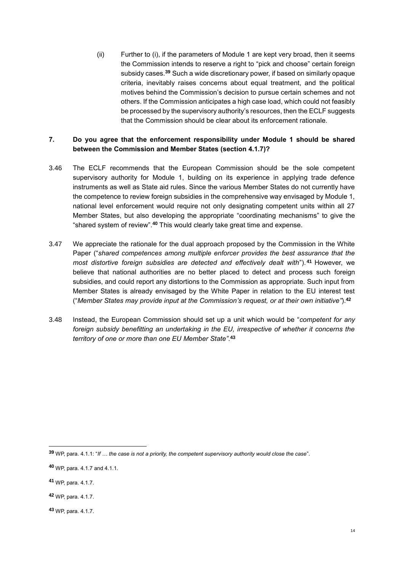(ii) Further to (i), if the parameters of Module 1 are kept very broad, then it seems the Commission intends to reserve a right to "pick and choose" certain foreign subsidy cases.**<sup>39</sup>** Such a wide discretionary power, if based on similarly opaque criteria, inevitably raises concerns about equal treatment, and the political motives behind the Commission's decision to pursue certain schemes and not others. If the Commission anticipates a high case load, which could not feasibly be processed by the supervisory authority's resources, then the ECLF suggests that the Commission should be clear about its enforcement rationale.

## **7. Do you agree that the enforcement responsibility under Module 1 should be shared between the Commission and Member States (section 4.1.7)?**

- 3.46 The ECLF recommends that the European Commission should be the sole competent supervisory authority for Module 1, building on its experience in applying trade defence instruments as well as State aid rules. Since the various Member States do not currently have the competence to review foreign subsidies in the comprehensive way envisaged by Module 1, national level enforcement would require not only designating competent units within all 27 Member States, but also developing the appropriate "coordinating mechanisms" to give the "shared system of review".**<sup>40</sup>** This would clearly take great time and expense.
- 3.47 We appreciate the rationale for the dual approach proposed by the Commission in the White Paper ("*shared competences among multiple enforcer provides the best assurance that the most distortive foreign subsidies are detected and effectively dealt with*"). **<sup>41</sup>** However, we believe that national authorities are no better placed to detect and process such foreign subsidies, and could report any distortions to the Commission as appropriate. Such input from Member States is already envisaged by the White Paper in relation to the EU interest test ("*Member States may provide input at the Commission's request, or at their own initiative"*).**<sup>42</sup>**
- 3.48 Instead, the European Commission should set up a unit which would be "*competent for any foreign subsidy benefitting an undertaking in the EU, irrespective of whether it concerns the territory of one or more than one EU Member State"*. **43**

1

**<sup>43</sup>** WP, para. 4.1.7.

**<sup>39</sup>** WP, para. 4.1.1: "*If … the case is not a priority, the competent supervisory authority would close the case*".

**<sup>40</sup>** WP, para. 4.1.7 and 4.1.1.

**<sup>41</sup>** WP, para. 4.1.7.

**<sup>42</sup>** WP, para. 4.1.7.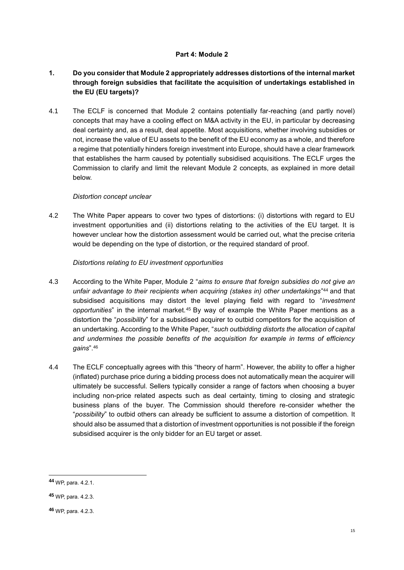## **Part 4: Module 2**

# <span id="page-16-0"></span>**1. Do you consider that Module 2 appropriately addresses distortions of the internal market through foreign subsidies that facilitate the acquisition of undertakings established in the EU (EU targets)?**

4.1 The ECLF is concerned that Module 2 contains potentially far-reaching (and partly novel) concepts that may have a cooling effect on M&A activity in the EU, in particular by decreasing deal certainty and, as a result, deal appetite. Most acquisitions, whether involving subsidies or not, increase the value of EU assets to the benefit of the EU economy as a whole, and therefore a regime that potentially hinders foreign investment into Europe, should have a clear framework that establishes the harm caused by potentially subsidised acquisitions. The ECLF urges the Commission to clarify and limit the relevant Module 2 concepts, as explained in more detail below.

# *Distortion concept unclear*

<span id="page-16-1"></span>4.2 The White Paper appears to cover two types of distortions: (i) distortions with regard to EU investment opportunities and (ii) distortions relating to the activities of the EU target. It is however unclear how the distortion assessment would be carried out, what the precise criteria would be depending on the type of distortion, or the required standard of proof.

# *Distortions relating to EU investment opportunities*

- 4.3 According to the White Paper, Module 2 "*aims to ensure that foreign subsidies do not give an*  unfair advantage to their recipients when acquiring (stakes in) other undertakings"<sup>44</sup> and that subsidised acquisitions may distort the level playing field with regard to "*investment*  opportunities" in the internal market.<sup>45</sup> By way of example the White Paper mentions as a distortion the "*possibility*" for a subsidised acquirer to outbid competitors for the acquisition of an undertaking. According to the White Paper, "*such outbidding distorts the allocation of capital and undermines the possible benefits of the acquisition for example in terms of efficiency gains*".<sup>46</sup>
- 4.4 The ECLF conceptually agrees with this "theory of harm". However, the ability to offer a higher (inflated) purchase price during a bidding process does not automatically mean the acquirer will ultimately be successful. Sellers typically consider a range of factors when choosing a buyer including non-price related aspects such as deal certainty, timing to closing and strategic business plans of the buyer. The Commission should therefore re-consider whether the "*possibility*" to outbid others can already be sufficient to assume a distortion of competition. It should also be assumed that a distortion of investment opportunities is not possible if the foreign subsidised acquirer is the only bidder for an EU target or asset.

**<sup>44</sup>** WP, para. 4.2.1.

**<sup>45</sup>** WP, para. 4.2.3.

**<sup>46</sup>** WP, para. 4.2.3.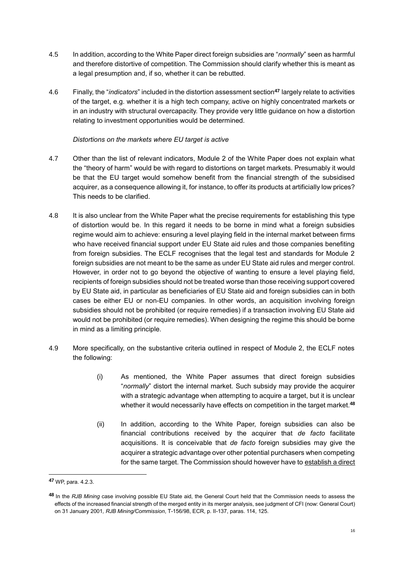- 4.5 In addition, according to the White Paper direct foreign subsidies are "*normally*" seen as harmful and therefore distortive of competition. The Commission should clarify whether this is meant as a legal presumption and, if so, whether it can be rebutted.
- 4.6 Finally, the "*indicators*" included in the distortion assessment section**<sup>47</sup>** largely relate to activities of the target, e.g. whether it is a high tech company, active on highly concentrated markets or in an industry with structural overcapacity. They provide very little guidance on how a distortion relating to investment opportunities would be determined.

## *Distortions on the markets where EU target is active*

- 4.7 Other than the list of relevant indicators, Module 2 of the White Paper does not explain what the "theory of harm" would be with regard to distortions on target markets. Presumably it would be that the EU target would somehow benefit from the financial strength of the subsidised acquirer, as a consequence allowing it, for instance, to offer its products at artificially low prices? This needs to be clarified.
- 4.8 It is also unclear from the White Paper what the precise requirements for establishing this type of distortion would be. In this regard it needs to be borne in mind what a foreign subsidies regime would aim to achieve: ensuring a level playing field in the internal market between firms who have received financial support under EU State aid rules and those companies benefiting from foreign subsidies. The ECLF recognises that the legal test and standards for Module 2 foreign subsidies are not meant to be the same as under EU State aid rules and merger control. However, in order not to go beyond the objective of wanting to ensure a level playing field, recipients of foreign subsidies should not be treated worse than those receiving support covered by EU State aid, in particular as beneficiaries of EU State aid and foreign subsidies can in both cases be either EU or non-EU companies. In other words, an acquisition involving foreign subsidies should not be prohibited (or require remedies) if a transaction involving EU State aid would not be prohibited (or require remedies). When designing the regime this should be borne in mind as a limiting principle.
- <span id="page-17-0"></span>4.9 More specifically, on the substantive criteria outlined in respect of Module 2, the ECLF notes the following:
	- (i) As mentioned, the White Paper assumes that direct foreign subsidies "*normally*" distort the internal market. Such subsidy may provide the acquirer with a strategic advantage when attempting to acquire a target, but it is unclear whether it would necessarily have effects on competition in the target market.**<sup>48</sup>**
	- (ii) In addition, according to the White Paper, foreign subsidies can also be financial contributions received by the acquirer that *de facto* facilitate acquisitions. It is conceivable that *de facto* foreign subsidies may give the acquirer a strategic advantage over other potential purchasers when competing for the same target. The Commission should however have to establish a direct

**<sup>47</sup>** WP, para. 4.2.3.

**<sup>48</sup>** In the *RJB Mining* case involving possible EU State aid, the General Court held that the Commission needs to assess the effects of the increased financial strength of the merged entity in its merger analysis, see judgment of CFI (now: General Court) on 31 January 2001*, RJB Mining/Commission*, T-156/98, ECR, p. II-137, paras. 114, 125.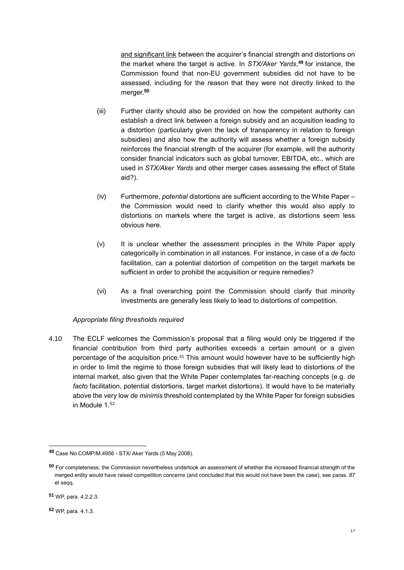and significant link between the acquirer's financial strength and distortions on the market where the target is active. In *STX/Aker Yards*, **<sup>49</sup>** for instance, the Commission found that non-EU government subsidies did not have to be assessed, including for the reason that they were not directly linked to the merger.**<sup>50</sup>**

- (iii) Further clarity should also be provided on how the competent authority can establish a direct link between a foreign subsidy and an acquisition leading to a distortion (particularly given the lack of transparency in relation to foreign subsidies) and also how the authority will assess whether a foreign subsidy reinforces the financial strength of the acquirer (for example, will the authority consider financial indicators such as global turnover, EBITDA, etc., which are used in *STX/Aker Yards* and other merger cases assessing the effect of State aid?).
- (iv) Furthermore, *potential* distortions are sufficient according to the White Paper the Commission would need to clarify whether this would also apply to distortions on markets where the target is active, as distortions seem less obvious here.
- (v) It is unclear whether the assessment principles in the White Paper apply categorically in combination in all instances. For instance, in case of a *de facto* facilitation, can a potential distortion of competition on the target markets be sufficient in order to prohibit the acquisition or require remedies?
- (vi) As a final overarching point the Commission should clarify that minority investments are generally less likely to lead to distortions of competition.

## *Appropriate filing thresholds required*

4.10 The ECLF welcomes the Commission's proposal that a filing would only be triggered if the financial contribution from third party authorities exceeds a certain amount or a given percentage of the acquisition price.<sup>51</sup> This amount would however have to be sufficiently high in order to limit the regime to those foreign subsidies that will likely lead to distortions of the internal market, also given that the White Paper contemplates far-reaching concepts (e.g. *de facto* facilitation, potential distortions, target market distortions). It would have to be materially above the very low *de minimis* threshold contemplated by the White Paper for foreign subsidies in Module 1<sup>52</sup>

**<sup>49</sup>** Case No COMP/M.4956 - STX/ Aker Yards (5 May 2008).

**<sup>50</sup>** For completeness, the Commission nevertheless undertook an assessment of whether the increased financial strength of the merged entity would have raised competition concerns (and concluded that this would not have been the case), see paras. 87 et seqq.

**<sup>51</sup>** WP, para. 4.2.2.3.

**<sup>52</sup>** WP, para. 4.1.3.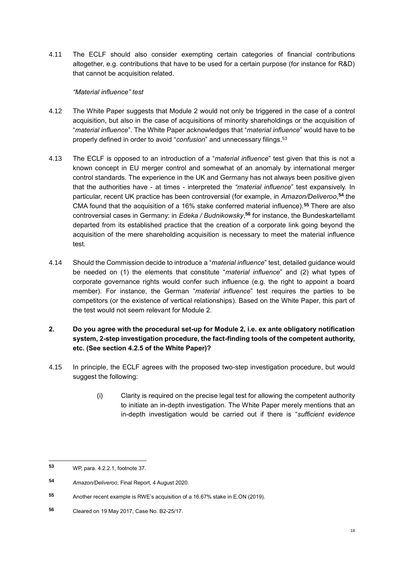4.11 The ECLF should also consider exempting certain categories of financial contributions altogether, e.g. contributions that have to be used for a certain purpose (for instance for R&D) that cannot be acquisition related.

## *"Material influence" test*

- 4.12 The White Paper suggests that Module 2 would not only be triggered in the case of a control acquisition, but also in the case of acquisitions of minority shareholdings or the acquisition of "*material influence*". The White Paper acknowledges that "*material influence*" would have to be properly defined in order to avoid "*confusion*" and unnecessary filings.<sup>53</sup>
- <span id="page-19-0"></span>4.13 The ECLF is opposed to an introduction of a "*material influence*" test given that this is not a known concept in EU merger control and somewhat of an anomaly by international merger control standards. The experience in the UK and Germany has not always been positive given that the authorities have - at times - interpreted the *"material influence*" test expansively. In particular, recent UK practice has been controversial (for example, in *Amazon/Deliveroo*, **<sup>54</sup>** the CMA found that the acquisition of a 16% stake conferred material influence).**<sup>55</sup>** There are also controversial cases in Germany: in *Edeka / Budnikowsky*, **<sup>56</sup>** for instance, the Bundeskartellamt departed from its established practice that the creation of a corporate link going beyond the acquisition of the mere shareholding acquisition is necessary to meet the material influence test.
- 4.14 Should the Commission decide to introduce a "*material influence*" test, detailed guidance would be needed on (1) the elements that constitute "*material influence*" and (2) what types of corporate governance rights would confer such influence (e.g. the right to appoint a board member). For instance, the German "*material influence*" test requires the parties to be competitors (or the existence of vertical relationships). Based on the White Paper, this part of the test would not seem relevant for Module 2.
- **2. Do you agree with the procedural set-up for Module 2, i.e. ex ante obligatory notification system, 2-step investigation procedure, the fact-finding tools of the competent authority, etc. (See section 4.2.5 of the White Paper)?**
- 4.15 In principle, the ECLF agrees with the proposed two-step investigation procedure, but would suggest the following:
	- (i) Clarity is required on the precise legal test for allowing the competent authority to initiate an in-depth investigation. The White Paper merely mentions that an in-depth investigation would be carried out if there is "*sufficient evidence*

 $53$ **<sup>53</sup>** WP, para. 4.2.2.1, footnote 37.

**<sup>54</sup>** *Amazon/Deliveroo*, Final Report, 4 August 2020.

**<sup>55</sup>** Another recent example is RWE's acquisition of a 16.67% stake in E.ON (2019).

**<sup>56</sup>** Cleared on 19 May 2017, Case No. B2-25/17.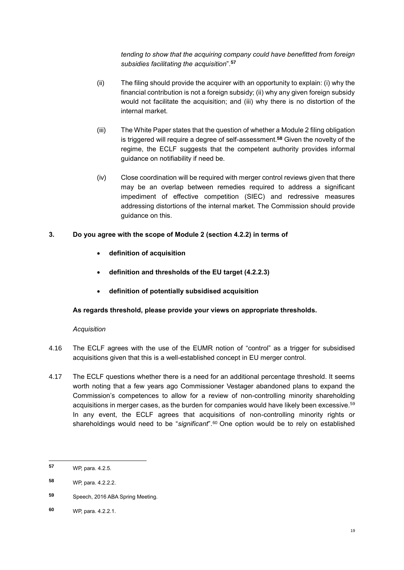*tending to show that the acquiring company could have benefitted from foreign subsidies facilitating the acquisition*".**<sup>57</sup>**

- (ii) The filing should provide the acquirer with an opportunity to explain: (i) why the financial contribution is not a foreign subsidy; (ii) why any given foreign subsidy would not facilitate the acquisition; and (iii) why there is no distortion of the internal market.
- (iii) The White Paper states that the question of whether a Module 2 filing obligation is triggered will require a degree of self-assessment.**<sup>58</sup>** Given the novelty of the regime, the ECLF suggests that the competent authority provides informal guidance on notifiability if need be.
- (iv) Close coordination will be required with merger control reviews given that there may be an overlap between remedies required to address a significant impediment of effective competition (SIEC) and redressive measures addressing distortions of the internal market. The Commission should provide guidance on this.

# **3. Do you agree with the scope of Module 2 (section 4.2.2) in terms of**

- **definition of acquisition**
- **definition and thresholds of the EU target (4.2.2.3)**
- **definition of potentially subsidised acquisition**

# **As regards threshold, please provide your views on appropriate thresholds.**

# *Acquisition*

- 4.16 The ECLF agrees with the use of the EUMR notion of "control" as a trigger for subsidised acquisitions given that this is a well-established concept in EU merger control.
- 4.17 The ECLF questions whether there is a need for an additional percentage threshold. It seems worth noting that a few years ago Commissioner Vestager abandoned plans to expand the Commission's competences to allow for a review of non-controlling minority shareholding acquisitions in merger cases, as the burden for companies would have likely been excessive.<sup>59</sup> In any event, the ECLF agrees that acquisitions of non-controlling minority rights or shareholdings would need to be "*significant*".<sup>60</sup> One option would be to rely on established

**<sup>60</sup>** WP, para. 4.2.2.1.

 $57$ **<sup>57</sup>** WP, para. 4.2.5.

**<sup>58</sup>** WP, para. 4.2.2.2.

**<sup>59</sup>** Speech, 2016 ABA Spring Meeting.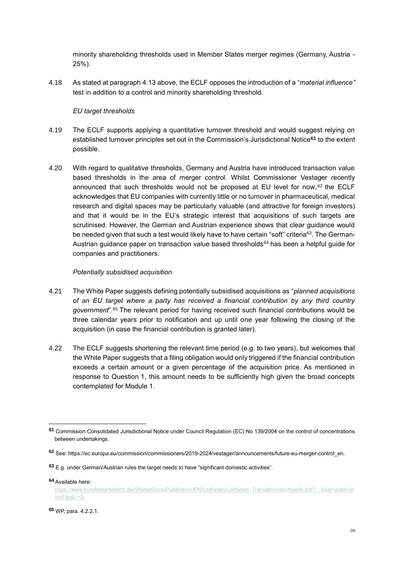minority shareholding thresholds used in Member States merger regimes (Germany, Austria - 25%).

4.18 As stated at paragraph [4.13 above,](#page-19-0) the ECLF opposes the introduction of a "*material influence"*  test in addition to a control and minority shareholding threshold.

### *EU target thresholds*

- 4.19 The ECLF supports applying a quantitative turnover threshold and would suggest relying on established turnover principles set out in the Commission's Jurisdictional Notice**<sup>61</sup>** to the extent possible.
- 4.20 With regard to qualitative thresholds, Germany and Austria have introduced transaction value based thresholds in the area of merger control. Whilst Commissioner Vestager recently announced that such thresholds would not be proposed at EU level for now,  $62$  the ECLF acknowledges that EU companies with currently little or no turnover in pharmaceutical, medical research and digital spaces may be particularly valuable (and attractive for foreign investors) and that it would be in the EU's strategic interest that acquisitions of such targets are scrutinised. However, the German and Austrian experience shows that clear guidance would be needed given that such a test would likely have to have certain "soft" criteria<sup>63</sup>. The German-Austrian guidance paper on transaction value based thresholds<sup>64</sup> has been a helpful guide for companies and practitioners.

#### *Potentially subsidised acquisition*

- 4.21 The White Paper suggests defining potentially subsidised acquisitions as "*planned acquisitions of an EU target where a party has received a financial contribution by any third country government*".<sup>65</sup> The relevant period for having received such financial contributions would be three calendar years prior to notification and up until one year following the closing of the acquisition (in case the financial contribution is granted later).
- 4.22 The ECLF suggests shortening the relevant time period (e.g. to two years), but welcomes that the White Paper suggests that a filing obligation would only triggered if the financial contribution exceeds a certain amount or a given percentage of the acquisition price. As mentioned in response to Question 1, this amount needs to be sufficiently high given the broad concepts contemplated for Module 1.

**<sup>64</sup>** Available here:

**<sup>61</sup>** Commission Consolidated Jurisdictional Notice under Council Regulation (EC) No 139/2004 on the control of concentrations between undertakings.

**<sup>62</sup>** See: https://ec.europa.eu/commission/commissioners/2019-2024/vestager/announcements/future-eu-merger-control\_en.

**<sup>63</sup>** E.g. under German/Austrian rules the target needs to have "significant domestic activities".

[https://www.bundeskartellamt.de/SharedDocs/Publikation/EN/Leitfaden/Leitfaden\\_Transaktionsschwelle.pdf?\\_\\_blob=publicat](https://www.bundeskartellamt.de/SharedDocs/Publikation/EN/Leitfaden/Leitfaden_Transaktionsschwelle.pdf?__blob=publicationFile&v=2) [ionFile&v=2.](https://www.bundeskartellamt.de/SharedDocs/Publikation/EN/Leitfaden/Leitfaden_Transaktionsschwelle.pdf?__blob=publicationFile&v=2) 

**<sup>65</sup>** WP, para. 4.2.2.1.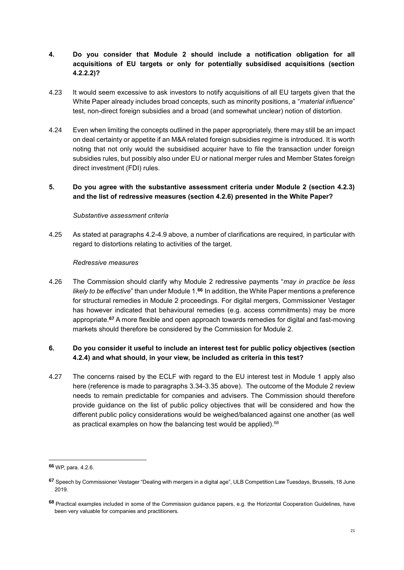# **4. Do you consider that Module 2 should include a notification obligation for all acquisitions of EU targets or only for potentially subsidised acquisitions (section 4.2.2.2)?**

- 4.23 It would seem excessive to ask investors to notify acquisitions of all EU targets given that the White Paper already includes broad concepts, such as minority positions, a "*material influence*" test, non-direct foreign subsidies and a broad (and somewhat unclear) notion of distortion.
- 4.24 Even when limiting the concepts outlined in the paper appropriately, there may still be an impact on deal certainty or appetite if an M&A related foreign subsidies regime is introduced. It is worth noting that not only would the subsidised acquirer have to file the transaction under foreign subsidies rules, but possibly also under EU or national merger rules and Member States foreign direct investment (FDI) rules.

# **5. Do you agree with the substantive assessment criteria under Module 2 (section 4.2.3) and the list of redressive measures (section 4.2.6) presented in the White Paper?**

## *Substantive assessment criteria*

4.25 As stated at paragraphs [4.2-](#page-16-1)[4.9](#page-17-0) above, a number of clarifications are required, in particular with regard to distortions relating to activities of the target.

# *Redressive measures*

4.26 The Commission should clarify why Module 2 redressive payments "*may in practice be less likely to be effective*" than under Module 1.**<sup>66</sup>** In addition, the White Paper mentions a preference for structural remedies in Module 2 proceedings. For digital mergers, Commissioner Vestager has however indicated that behavioural remedies (e.g. access commitments) may be more appropriate.**<sup>67</sup>** A more flexible and open approach towards remedies for digital and fast-moving markets should therefore be considered by the Commission for Module 2.

# **6. Do you consider it useful to include an interest test for public policy objectives (section 4.2.4) and what should, in your view, be included as criteria in this test?**

4.27 The concerns raised by the ECLF with regard to the EU interest test in Module 1 apply also here (reference is made to paragraphs [3.34](#page-12-0)[-3.35](#page-12-1) above). The outcome of the Module 2 review needs to remain predictable for companies and advisers. The Commission should therefore provide guidance on the list of public policy objectives that will be considered and how the different public policy considerations would be weighed/balanced against one another (as well as practical examples on how the balancing test would be applied).<sup>68</sup>

**<sup>66</sup>** WP, para. 4.2.6.

**<sup>67</sup>** Speech by Commissioner Vestager "Dealing with mergers in a digital age", ULB Competition Law Tuesdays, Brussels, 18 June 2019.

**<sup>68</sup>** Practical examples included in some of the Commission guidance papers, e.g. the Horizontal Cooperation Guidelines, have been very valuable for companies and practitioners.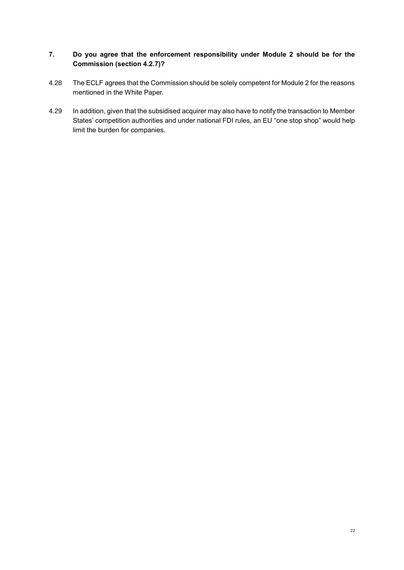# **7. Do you agree that the enforcement responsibility under Module 2 should be for the Commission (section 4.2.7)?**

- 4.28 The ECLF agrees that the Commission should be solely competent for Module 2 for the reasons mentioned in the White Paper.
- 4.29 In addition, given that the subsidised acquirer may also have to notify the transaction to Member States' competition authorities and under national FDI rules, an EU "one stop shop" would help limit the burden for companies.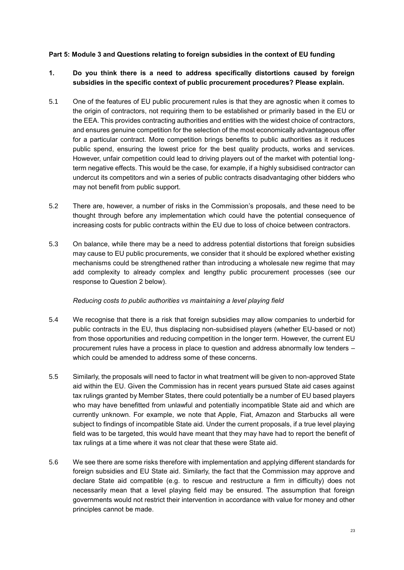## <span id="page-24-0"></span>**Part 5: Module 3 and Questions relating to foreign subsidies in the context of EU funding**

# **1. Do you think there is a need to address specifically distortions caused by foreign subsidies in the specific context of public procurement procedures? Please explain.**

- 5.1 One of the features of EU public procurement rules is that they are agnostic when it comes to the origin of contractors, not requiring them to be established or primarily based in the EU or the EEA. This provides contracting authorities and entities with the widest choice of contractors, and ensures genuine competition for the selection of the most economically advantageous offer for a particular contract. More competition brings benefits to public authorities as it reduces public spend, ensuring the lowest price for the best quality products, works and services. However, unfair competition could lead to driving players out of the market with potential longterm negative effects. This would be the case, for example, if a highly subsidised contractor can undercut its competitors and win a series of public contracts disadvantaging other bidders who may not benefit from public support.
- 5.2 There are, however, a number of risks in the Commission's proposals, and these need to be thought through before any implementation which could have the potential consequence of increasing costs for public contracts within the EU due to loss of choice between contractors.
- 5.3 On balance, while there may be a need to address potential distortions that foreign subsidies may cause to EU public procurements, we consider that it should be explored whether existing mechanisms could be strengthened rather than introducing a wholesale new regime that may add complexity to already complex and lengthy public procurement processes (see our response to Question 2 below).

## *Reducing costs to public authorities vs maintaining a level playing field*

- 5.4 We recognise that there is a risk that foreign subsidies may allow companies to underbid for public contracts in the EU, thus displacing non-subsidised players (whether EU-based or not) from those opportunities and reducing competition in the longer term. However, the current EU procurement rules have a process in place to question and address abnormally low tenders – which could be amended to address some of these concerns.
- 5.5 Similarly, the proposals will need to factor in what treatment will be given to non-approved State aid within the EU. Given the Commission has in recent years pursued State aid cases against tax rulings granted by Member States, there could potentially be a number of EU based players who may have benefitted from unlawful and potentially incompatible State aid and which are currently unknown. For example, we note that Apple, Fiat, Amazon and Starbucks all were subject to findings of incompatible State aid. Under the current proposals, if a true level playing field was to be targeted, this would have meant that they may have had to report the benefit of tax rulings at a time where it was not clear that these were State aid.
- 5.6 We see there are some risks therefore with implementation and applying different standards for foreign subsidies and EU State aid. Similarly, the fact that the Commission may approve and declare State aid compatible (e.g. to rescue and restructure a firm in difficulty) does not necessarily mean that a level playing field may be ensured. The assumption that foreign governments would not restrict their intervention in accordance with value for money and other principles cannot be made.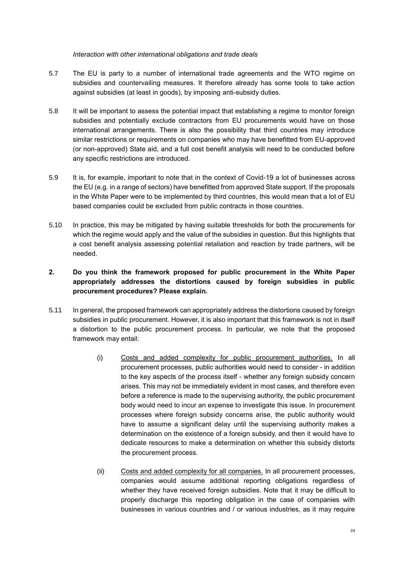### *Interaction with other international obligations and trade deals*

- 5.7 The EU is party to a number of international trade agreements and the WTO regime on subsidies and countervailing measures. It therefore already has some tools to take action against subsidies (at least in goods), by imposing anti-subsidy duties.
- 5.8 It will be important to assess the potential impact that establishing a regime to monitor foreign subsidies and potentially exclude contractors from EU procurements would have on those international arrangements. There is also the possibility that third countries may introduce similar restrictions or requirements on companies who may have benefitted from EU-approved (or non-approved) State aid, and a full cost benefit analysis will need to be conducted before any specific restrictions are introduced.
- 5.9 It is, for example, important to note that in the context of Covid-19 a lot of businesses across the EU (e.g. in a range of sectors) have benefitted from approved State support. If the proposals in the White Paper were to be implemented by third countries, this would mean that a lot of EU based companies could be excluded from public contracts in those countries.
- 5.10 In practice, this may be mitigated by having suitable thresholds for both the procurements for which the regime would apply and the value of the subsidies in question. But this highlights that a cost benefit analysis assessing potential retaliation and reaction by trade partners, will be needed.

# **2. Do you think the framework proposed for public procurement in the White Paper appropriately addresses the distortions caused by foreign subsidies in public procurement procedures? Please explain.**

- 5.11 In general, the proposed framework can appropriately address the distortions caused by foreign subsidies in public procurement. However, it is also important that this framework is not in itself a distortion to the public procurement process. In particular, we note that the proposed framework may entail:
	- (i) Costs and added complexity for public procurement authorities. In all procurement processes, public authorities would need to consider - in addition to the key aspects of the process itself - whether any foreign subsidy concern arises. This may not be immediately evident in most cases, and therefore even before a reference is made to the supervising authority, the public procurement body would need to incur an expense to investigate this issue. In procurement processes where foreign subsidy concerns arise, the public authority would have to assume a significant delay until the supervising authority makes a determination on the existence of a foreign subsidy, and then it would have to dedicate resources to make a determination on whether this subsidy distorts the procurement process.
	- (ii) Costs and added complexity for all companies. In all procurement processes, companies would assume additional reporting obligations regardless of whether they have received foreign subsidies. Note that it may be difficult to properly discharge this reporting obligation in the case of companies with businesses in various countries and / or various industries, as it may require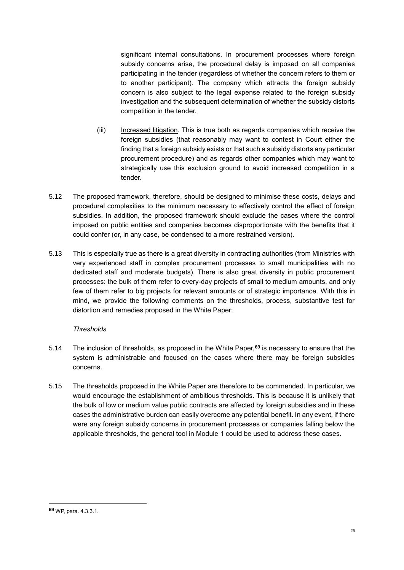significant internal consultations. In procurement processes where foreign subsidy concerns arise, the procedural delay is imposed on all companies participating in the tender (regardless of whether the concern refers to them or to another participant). The company which attracts the foreign subsidy concern is also subject to the legal expense related to the foreign subsidy investigation and the subsequent determination of whether the subsidy distorts competition in the tender.

- (iii) Increased litigation. This is true both as regards companies which receive the foreign subsidies (that reasonably may want to contest in Court either the finding that a foreign subsidy exists or that such a subsidy distorts any particular procurement procedure) and as regards other companies which may want to strategically use this exclusion ground to avoid increased competition in a tender.
- 5.12 The proposed framework, therefore, should be designed to minimise these costs, delays and procedural complexities to the minimum necessary to effectively control the effect of foreign subsidies. In addition, the proposed framework should exclude the cases where the control imposed on public entities and companies becomes disproportionate with the benefits that it could confer (or, in any case, be condensed to a more restrained version).
- 5.13 This is especially true as there is a great diversity in contracting authorities (from Ministries with very experienced staff in complex procurement processes to small municipalities with no dedicated staff and moderate budgets). There is also great diversity in public procurement processes: the bulk of them refer to every-day projects of small to medium amounts, and only few of them refer to big projects for relevant amounts or of strategic importance. With this in mind, we provide the following comments on the thresholds, process, substantive test for distortion and remedies proposed in the White Paper:

## *Thresholds*

- 5.14 The inclusion of thresholds, as proposed in the White Paper,**<sup>69</sup>** is necessary to ensure that the system is administrable and focused on the cases where there may be foreign subsidies concerns.
- 5.15 The thresholds proposed in the White Paper are therefore to be commended. In particular, we would encourage the establishment of ambitious thresholds. This is because it is unlikely that the bulk of low or medium value public contracts are affected by foreign subsidies and in these cases the administrative burden can easily overcome any potential benefit. In any event, if there were any foreign subsidy concerns in procurement processes or companies falling below the applicable thresholds, the general tool in Module 1 could be used to address these cases.

**<sup>69</sup>** WP, para. 4.3.3.1.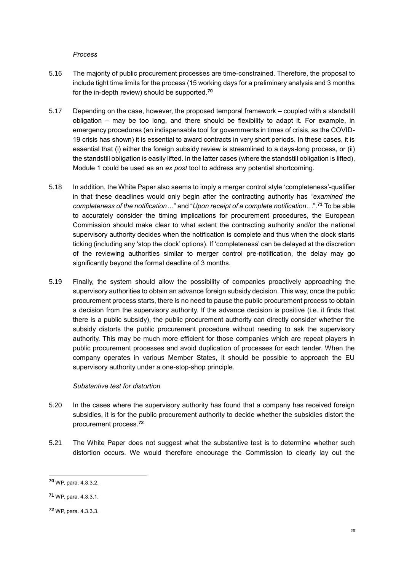#### *Process*

- 5.16 The majority of public procurement processes are time-constrained. Therefore, the proposal to include tight time limits for the process (15 working days for a preliminary analysis and 3 months for the in-depth review) should be supported.**<sup>70</sup>**
- 5.17 Depending on the case, however, the proposed temporal framework coupled with a standstill obligation – may be too long, and there should be flexibility to adapt it. For example, in emergency procedures (an indispensable tool for governments in times of crisis, as the COVID-19 crisis has shown) it is essential to award contracts in very short periods. In these cases, it is essential that (i) either the foreign subsidy review is streamlined to a days-long process, or (ii) the standstill obligation is easily lifted. In the latter cases (where the standstill obligation is lifted), Module 1 could be used as an *ex post* tool to address any potential shortcoming.
- 5.18 In addition, the White Paper also seems to imply a merger control style 'completeness'-qualifier in that these deadlines would only begin after the contracting authority has *"examined the completeness of the notification…*" and "*Upon receipt of a complete notification…*".**<sup>71</sup>** To be able to accurately consider the timing implications for procurement procedures, the European Commission should make clear to what extent the contracting authority and/or the national supervisory authority decides when the notification is complete and thus when the clock starts ticking (including any 'stop the clock' options). If 'completeness' can be delayed at the discretion of the reviewing authorities similar to merger control pre-notification, the delay may go significantly beyond the formal deadline of 3 months.
- 5.19 Finally, the system should allow the possibility of companies proactively approaching the supervisory authorities to obtain an advance foreign subsidy decision. This way, once the public procurement process starts, there is no need to pause the public procurement process to obtain a decision from the supervisory authority. If the advance decision is positive (i.e. it finds that there is a public subsidy), the public procurement authority can directly consider whether the subsidy distorts the public procurement procedure without needing to ask the supervisory authority. This may be much more efficient for those companies which are repeat players in public procurement processes and avoid duplication of processes for each tender. When the company operates in various Member States, it should be possible to approach the EU supervisory authority under a one-stop-shop principle.

## *Substantive test for distortion*

- 5.20 In the cases where the supervisory authority has found that a company has received foreign subsidies, it is for the public procurement authority to decide whether the subsidies distort the procurement process.**<sup>72</sup>**
- 5.21 The White Paper does not suggest what the substantive test is to determine whether such distortion occurs. We would therefore encourage the Commission to clearly lay out the

**<sup>70</sup>** WP, para. 4.3.3.2.

**<sup>71</sup>** WP, para. 4.3.3.1.

**<sup>72</sup>** WP, para. 4.3.3.3.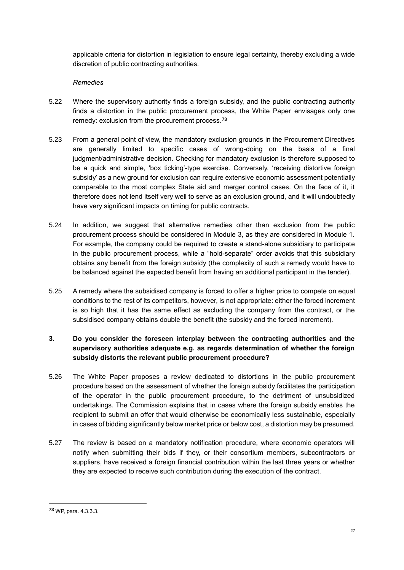applicable criteria for distortion in legislation to ensure legal certainty, thereby excluding a wide discretion of public contracting authorities.

### *Remedies*

- 5.22 Where the supervisory authority finds a foreign subsidy, and the public contracting authority finds a distortion in the public procurement process, the White Paper envisages only one remedy: exclusion from the procurement process.**<sup>73</sup>**
- 5.23 From a general point of view, the mandatory exclusion grounds in the Procurement Directives are generally limited to specific cases of wrong-doing on the basis of a final judgment/administrative decision. Checking for mandatory exclusion is therefore supposed to be a quick and simple, 'box ticking'-type exercise. Conversely, 'receiving distortive foreign subsidy' as a new ground for exclusion can require extensive economic assessment potentially comparable to the most complex State aid and merger control cases. On the face of it, it therefore does not lend itself very well to serve as an exclusion ground, and it will undoubtedly have very significant impacts on timing for public contracts.
- 5.24 In addition, we suggest that alternative remedies other than exclusion from the public procurement process should be considered in Module 3, as they are considered in Module 1. For example, the company could be required to create a stand-alone subsidiary to participate in the public procurement process, while a "hold-separate" order avoids that this subsidiary obtains any benefit from the foreign subsidy (the complexity of such a remedy would have to be balanced against the expected benefit from having an additional participant in the tender).
- 5.25 A remedy where the subsidised company is forced to offer a higher price to compete on equal conditions to the rest of its competitors, however, is not appropriate: either the forced increment is so high that it has the same effect as excluding the company from the contract, or the subsidised company obtains double the benefit (the subsidy and the forced increment).

# **3. Do you consider the foreseen interplay between the contracting authorities and the supervisory authorities adequate e.g. as regards determination of whether the foreign subsidy distorts the relevant public procurement procedure?**

- 5.26 The White Paper proposes a review dedicated to distortions in the public procurement procedure based on the assessment of whether the foreign subsidy facilitates the participation of the operator in the public procurement procedure, to the detriment of unsubsidized undertakings. The Commission explains that in cases where the foreign subsidy enables the recipient to submit an offer that would otherwise be economically less sustainable, especially in cases of bidding significantly below market price or below cost, a distortion may be presumed.
- 5.27 The review is based on a mandatory notification procedure, where economic operators will notify when submitting their bids if they, or their consortium members, subcontractors or suppliers, have received a foreign financial contribution within the last three years or whether they are expected to receive such contribution during the execution of the contract.

**<sup>73</sup>** WP, para. 4.3.3.3.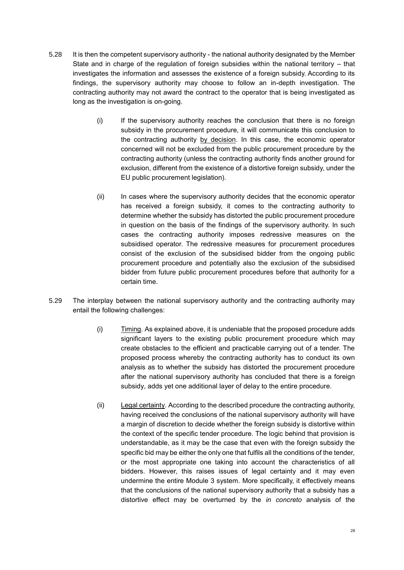- 5.28 It is then the competent supervisory authority the national authority designated by the Member State and in charge of the regulation of foreign subsidies within the national territory – that investigates the information and assesses the existence of a foreign subsidy. According to its findings, the supervisory authority may choose to follow an in-depth investigation. The contracting authority may not award the contract to the operator that is being investigated as long as the investigation is on-going.
	- (i) If the supervisory authority reaches the conclusion that there is no foreign subsidy in the procurement procedure, it will communicate this conclusion to the contracting authority by decision. In this case, the economic operator concerned will not be excluded from the public procurement procedure by the contracting authority (unless the contracting authority finds another ground for exclusion, different from the existence of a distortive foreign subsidy, under the EU public procurement legislation).
	- (ii) In cases where the supervisory authority decides that the economic operator has received a foreign subsidy, it comes to the contracting authority to determine whether the subsidy has distorted the public procurement procedure in question on the basis of the findings of the supervisory authority. In such cases the contracting authority imposes redressive measures on the subsidised operator. The redressive measures for procurement procedures consist of the exclusion of the subsidised bidder from the ongoing public procurement procedure and potentially also the exclusion of the subsidised bidder from future public procurement procedures before that authority for a certain time.
- 5.29 The interplay between the national supervisory authority and the contracting authority may entail the following challenges:
	- (i) Timing. As explained above, it is undeniable that the proposed procedure adds significant layers to the existing public procurement procedure which may create obstacles to the efficient and practicable carrying out of a tender. The proposed process whereby the contracting authority has to conduct its own analysis as to whether the subsidy has distorted the procurement procedure after the national supervisory authority has concluded that there is a foreign subsidy, adds yet one additional layer of delay to the entire procedure.
	- (ii) Legal certainty. According to the described procedure the contracting authority, having received the conclusions of the national supervisory authority will have a margin of discretion to decide whether the foreign subsidy is distortive within the context of the specific tender procedure. The logic behind that provision is understandable, as it may be the case that even with the foreign subsidy the specific bid may be either the only one that fulfils all the conditions of the tender, or the most appropriate one taking into account the characteristics of all bidders. However, this raises issues of legal certainty and it may even undermine the entire Module 3 system. More specifically, it effectively means that the conclusions of the national supervisory authority that a subsidy has a distortive effect may be overturned by the *in concreto* analysis of the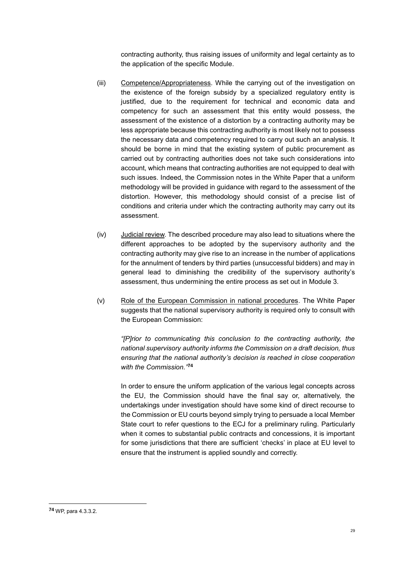contracting authority, thus raising issues of uniformity and legal certainty as to the application of the specific Module.

- (iii) Competence/Appropriateness. While the carrying out of the investigation on the existence of the foreign subsidy by a specialized regulatory entity is justified, due to the requirement for technical and economic data and competency for such an assessment that this entity would possess, the assessment of the existence of a distortion by a contracting authority may be less appropriate because this contracting authority is most likely not to possess the necessary data and competency required to carry out such an analysis. It should be borne in mind that the existing system of public procurement as carried out by contracting authorities does not take such considerations into account, which means that contracting authorities are not equipped to deal with such issues. Indeed, the Commission notes in the White Paper that a uniform methodology will be provided in guidance with regard to the assessment of the distortion. However, this methodology should consist of a precise list of conditions and criteria under which the contracting authority may carry out its assessment.
- (iv) Judicial review. The described procedure may also lead to situations where the different approaches to be adopted by the supervisory authority and the contracting authority may give rise to an increase in the number of applications for the annulment of tenders by third parties (unsuccessful bidders) and may in general lead to diminishing the credibility of the supervisory authority's assessment, thus undermining the entire process as set out in Module 3.
- (v) Role of the European Commission in national procedures. The White Paper suggests that the national supervisory authority is required only to consult with the European Commission:

*"[P]rior to communicating this conclusion to the contracting authority, the national supervisory authority informs the Commission on a draft decision, thus ensuring that the national authority's decision is reached in close cooperation with the Commission."* **74**

In order to ensure the uniform application of the various legal concepts across the EU, the Commission should have the final say or, alternatively, the undertakings under investigation should have some kind of direct recourse to the Commission or EU courts beyond simply trying to persuade a local Member State court to refer questions to the ECJ for a preliminary ruling. Particularly when it comes to substantial public contracts and concessions, it is important for some jurisdictions that there are sufficient 'checks' in place at EU level to ensure that the instrument is applied soundly and correctly.

**<sup>74</sup>** WP, para 4.3.3.2.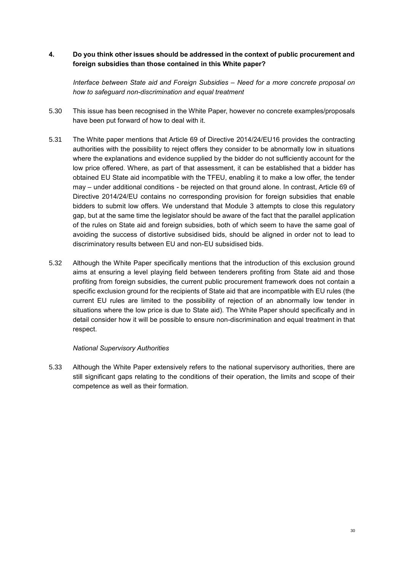# **4. Do you think other issues should be addressed in the context of public procurement and foreign subsidies than those contained in this White paper?**

*Interface between State aid and Foreign Subsidies – Need for a more concrete proposal on how to safeguard non-discrimination and equal treatment*

- 5.30 This issue has been recognised in the White Paper, however no concrete examples/proposals have been put forward of how to deal with it.
- 5.31 The White paper mentions that Article 69 of Directive 2014/24/EU16 provides the contracting authorities with the possibility to reject offers they consider to be abnormally low in situations where the explanations and evidence supplied by the bidder do not sufficiently account for the low price offered. Where, as part of that assessment, it can be established that a bidder has obtained EU State aid incompatible with the TFEU, enabling it to make a low offer, the tender may – under additional conditions - be rejected on that ground alone. In contrast, Article 69 of Directive 2014/24/EU contains no corresponding provision for foreign subsidies that enable bidders to submit low offers. We understand that Module 3 attempts to close this regulatory gap, but at the same time the legislator should be aware of the fact that the parallel application of the rules on State aid and foreign subsidies, both of which seem to have the same goal of avoiding the success of distortive subsidised bids, should be aligned in order not to lead to discriminatory results between EU and non-EU subsidised bids.
- 5.32 Although the White Paper specifically mentions that the introduction of this exclusion ground aims at ensuring a level playing field between tenderers profiting from State aid and those profiting from foreign subsidies, the current public procurement framework does not contain a specific exclusion ground for the recipients of State aid that are incompatible with EU rules (the current EU rules are limited to the possibility of rejection of an abnormally low tender in situations where the low price is due to State aid). The White Paper should specifically and in detail consider how it will be possible to ensure non-discrimination and equal treatment in that respect.

#### *National Supervisory Authorities*

5.33 Although the White Paper extensively refers to the national supervisory authorities, there are still significant gaps relating to the conditions of their operation, the limits and scope of their competence as well as their formation.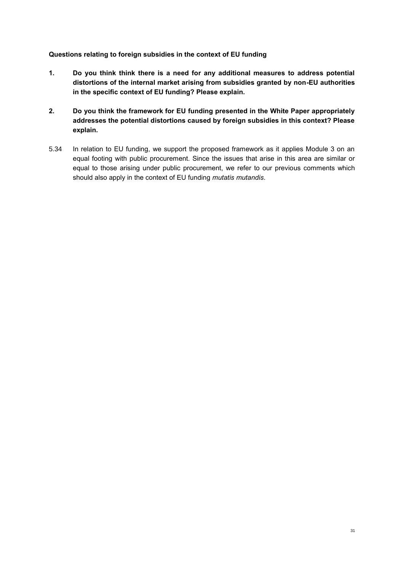# **Questions relating to foreign subsidies in the context of EU funding**

- **1. Do you think think there is a need for any additional measures to address potential distortions of the internal market arising from subsidies granted by non-EU authorities in the specific context of EU funding? Please explain.**
- **2. Do you think the framework for EU funding presented in the White Paper appropriately addresses the potential distortions caused by foreign subsidies in this context? Please explain.**
- 5.34 In relation to EU funding, we support the proposed framework as it applies Module 3 on an equal footing with public procurement. Since the issues that arise in this area are similar or equal to those arising under public procurement, we refer to our previous comments which should also apply in the context of EU funding *mutatis mutandis*.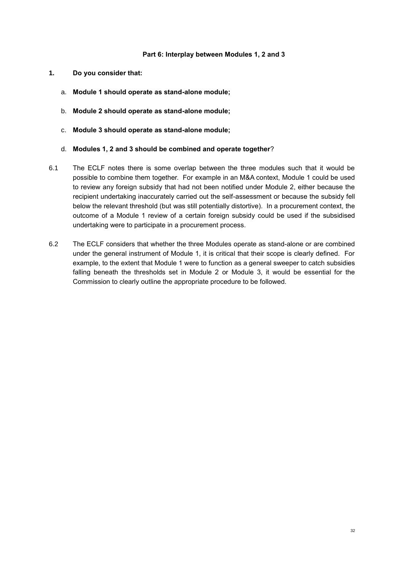### **Part 6: Interplay between Modules 1, 2 and 3**

- <span id="page-33-0"></span>**1. Do you consider that:**
	- a. **Module 1 should operate as stand-alone module;**
	- b. **Module 2 should operate as stand-alone module;**
	- c. **Module 3 should operate as stand-alone module;**
	- d. **Modules 1, 2 and 3 should be combined and operate together**?
- 6.1 The ECLF notes there is some overlap between the three modules such that it would be possible to combine them together. For example in an M&A context, Module 1 could be used to review any foreign subsidy that had not been notified under Module 2, either because the recipient undertaking inaccurately carried out the self-assessment or because the subsidy fell below the relevant threshold (but was still potentially distortive). In a procurement context, the outcome of a Module 1 review of a certain foreign subsidy could be used if the subsidised undertaking were to participate in a procurement process.
- 6.2 The ECLF considers that whether the three Modules operate as stand-alone or are combined under the general instrument of Module 1, it is critical that their scope is clearly defined. For example, to the extent that Module 1 were to function as a general sweeper to catch subsidies falling beneath the thresholds set in Module 2 or Module 3, it would be essential for the Commission to clearly outline the appropriate procedure to be followed.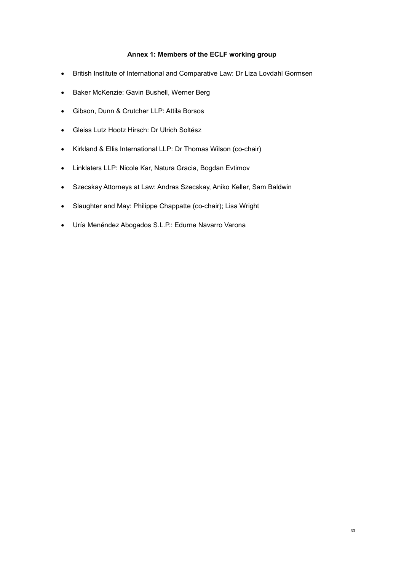## **Annex 1: Members of the ECLF working group**

- British Institute of International and Comparative Law: Dr Liza Lovdahl Gormsen
- Baker McKenzie: Gavin Bushell, Werner Berg
- Gibson, Dunn & Crutcher LLP: Attila Borsos
- Gleiss Lutz Hootz Hirsch: Dr Ulrich Soltész
- Kirkland & Ellis International LLP: Dr Thomas Wilson (co-chair)
- Linklaters LLP: Nicole Kar, Natura Gracia, Bogdan Evtimov
- Szecskay Attorneys at Law: Andras Szecskay, Aniko Keller, Sam Baldwin
- Slaughter and May: Philippe Chappatte (co-chair); Lisa Wright
- Uría Menéndez Abogados S.L.P.: Edurne Navarro Varona